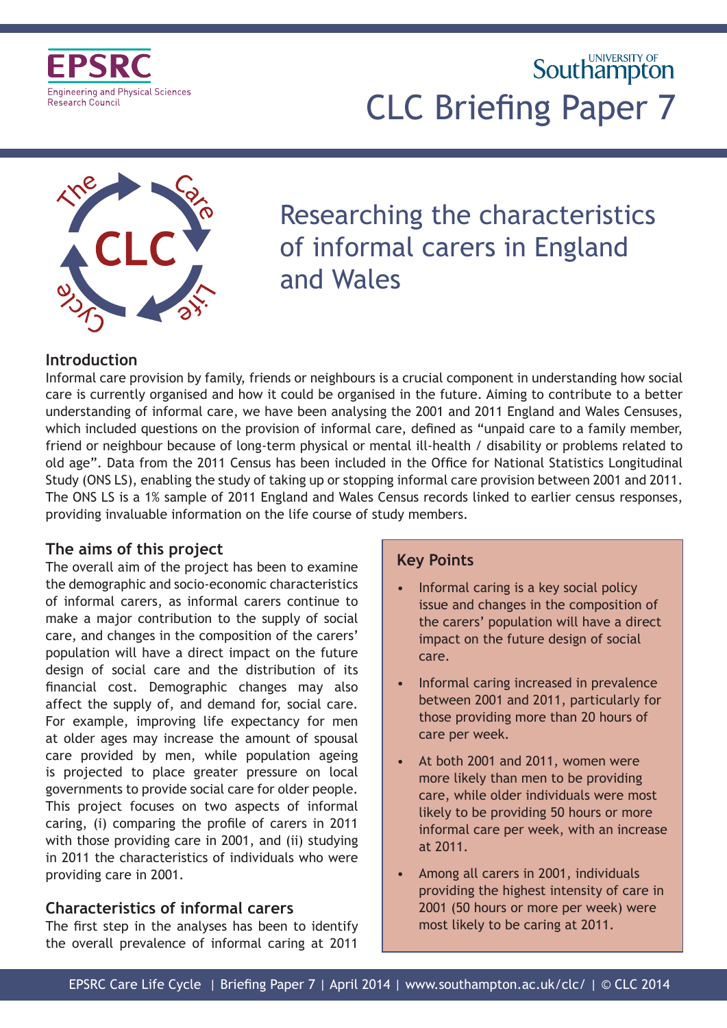

# **Southampton** CLC Briefing Paper 7



## Researching the characteristics of informal carers in England and Wales

## **Introduction**

Informal care provision by family, friends or neighbours is a crucial component in understanding how social care is currently organised and how it could be organised in the future. Aiming to contribute to a better understanding of informal care, we have been analysing the 2001 and 2011 England and Wales Censuses, which included questions on the provision of informal care, defined as "unpaid care to a family member, friend or neighbour because of long-term physical or mental ill-health / disability or problems related to old age". Data from the 2011 Census has been included in the Office for National Statistics Longitudinal Study (ONS LS), enabling the study of taking up or stopping informal care provision between 2001 and 2011. The ONS LS is a 1% sample of 2011 England and Wales Census records linked to earlier census responses, providing invaluable information on the life course of study members.

## **The aims of this project**

The overall aim of the project has been to examine the demographic and socio-economic characteristics of informal carers, as informal carers continue to make a major contribution to the supply of social care, and changes in the composition of the carers' population will have a direct impact on the future design of social care and the distribution of its financial cost. Demographic changes may also affect the supply of, and demand for, social care. For example, improving life expectancy for men at older ages may increase the amount of spousal care provided by men, while population ageing is projected to place greater pressure on local governments to provide social care for older people. This project focuses on two aspects of informal caring, (i) comparing the profile of carers in 2011 with those providing care in 2001, and (ii) studying in 2011 the characteristics of individuals who were providing care in 2001.

## **Characteristics of informal carers**

The first step in the analyses has been to identify the overall prevalence of informal caring at 2011

## **Key Points**

- Informal caring is a key social policy issue and changes in the composition of the carers' population will have a direct impact on the future design of social care.
- Informal caring increased in prevalence between 2001 and 2011, particularly for those providing more than 20 hours of care per week.
- At both 2001 and 2011, women were more likely than men to be providing care, while older individuals were most likely to be providing 50 hours or more informal care per week, with an increase at 2011.
- Among all carers in 2001, individuals providing the highest intensity of care in 2001 (50 hours or more per week) were most likely to be caring at 2011.